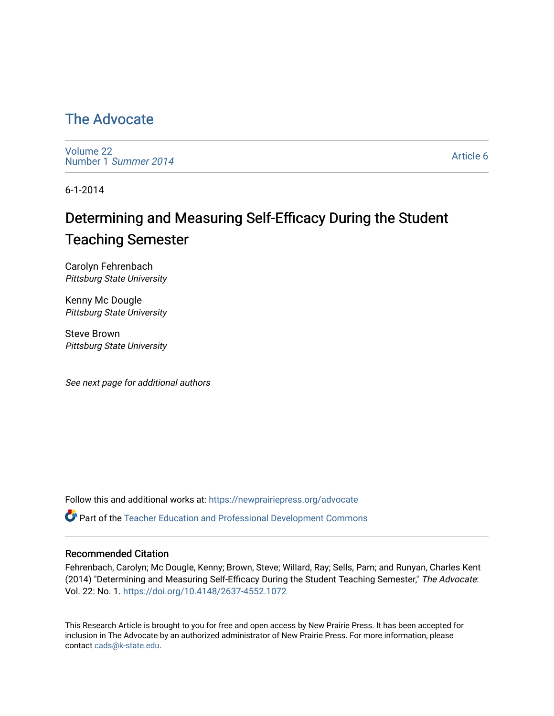## [The Advocate](https://newprairiepress.org/advocate)

[Volume 22](https://newprairiepress.org/advocate/vol22) [Number 1](https://newprairiepress.org/advocate/vol22/iss1) Summer 2014

[Article 6](https://newprairiepress.org/advocate/vol22/iss1/6) 

6-1-2014

# Determining and Measuring Self-Efficacy During the Student Teaching Semester

Carolyn Fehrenbach Pittsburg State University

Kenny Mc Dougle Pittsburg State University

Steve Brown Pittsburg State University

See next page for additional authors

Follow this and additional works at: [https://newprairiepress.org/advocate](https://newprairiepress.org/advocate?utm_source=newprairiepress.org%2Fadvocate%2Fvol22%2Fiss1%2F6&utm_medium=PDF&utm_campaign=PDFCoverPages) 

Part of the [Teacher Education and Professional Development Commons](http://network.bepress.com/hgg/discipline/803?utm_source=newprairiepress.org%2Fadvocate%2Fvol22%2Fiss1%2F6&utm_medium=PDF&utm_campaign=PDFCoverPages) 

#### Recommended Citation

Fehrenbach, Carolyn; Mc Dougle, Kenny; Brown, Steve; Willard, Ray; Sells, Pam; and Runyan, Charles Kent (2014) "Determining and Measuring Self-Efficacy During the Student Teaching Semester," The Advocate: Vol. 22: No. 1.<https://doi.org/10.4148/2637-4552.1072>

This Research Article is brought to you for free and open access by New Prairie Press. It has been accepted for inclusion in The Advocate by an authorized administrator of New Prairie Press. For more information, please contact [cads@k-state.edu](mailto:cads@k-state.edu).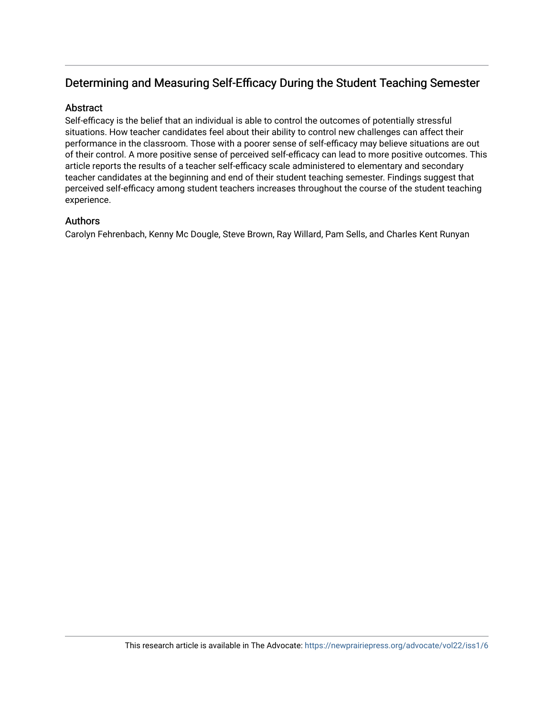#### Determining and Measuring Self-Efficacy During the Student Teaching Semester

#### Abstract

Self-efficacy is the belief that an individual is able to control the outcomes of potentially stressful situations. How teacher candidates feel about their ability to control new challenges can affect their performance in the classroom. Those with a poorer sense of self-efficacy may believe situations are out of their control. A more positive sense of perceived self-efficacy can lead to more positive outcomes. This article reports the results of a teacher self-efficacy scale administered to elementary and secondary teacher candidates at the beginning and end of their student teaching semester. Findings suggest that perceived self-efficacy among student teachers increases throughout the course of the student teaching experience.

#### Authors

Carolyn Fehrenbach, Kenny Mc Dougle, Steve Brown, Ray Willard, Pam Sells, and Charles Kent Runyan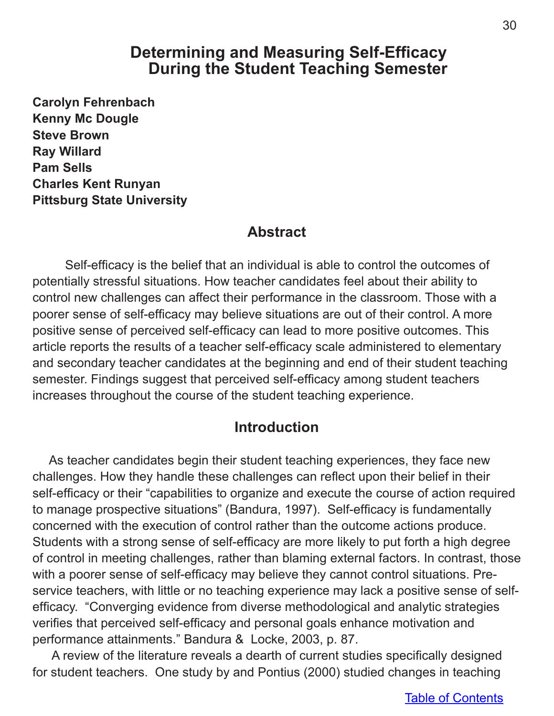## **Determining and Measuring Self-Efficacy During the Student Teaching Semester**

**Carolyn Fehrenbach Kenny Mc Dougle Steve Brown Ray Willard Pam Sells Charles Kent Runyan Pittsburg State University**

### **Abstract**

Self-efficacy is the belief that an individual is able to control the outcomes of potentially stressful situations. How teacher candidates feel about their ability to control new challenges can affect their performance in the classroom. Those with a poorer sense of self-efficacy may believe situations are out of their control. A more positive sense of perceived self-efficacy can lead to more positive outcomes. This article reports the results of a teacher self-efficacy scale administered to elementary and secondary teacher candidates at the beginning and end of their student teaching semester. Findings suggest that perceived self-efficacy among student teachers increases throughout the course of the student teaching experience.

## **Introduction**

As teacher candidates begin their student teaching experiences, they face new challenges. How they handle these challenges can reflect upon their belief in their self-efficacy or their "capabilities to organize and execute the course of action required to manage prospective situations" (Bandura, 1997). Self-efficacy is fundamentally concerned with the execution of control rather than the outcome actions produce. Students with a strong sense of self-efficacy are more likely to put forth a high degree of control in meeting challenges, rather than blaming external factors. In contrast, those with a poorer sense of self-efficacy may believe they cannot control situations. Preservice teachers, with little or no teaching experience may lack a positive sense of selfefficacy. "Converging evidence from diverse methodological and analytic strategies verifies that perceived self-efficacy and personal goals enhance motivation and performance attainments." Bandura & Locke, 2003, p. 87.

 A review of the literature reveals a dearth of current studies specifically designed for student teachers. One study by and Pontius (2000) studied changes in teaching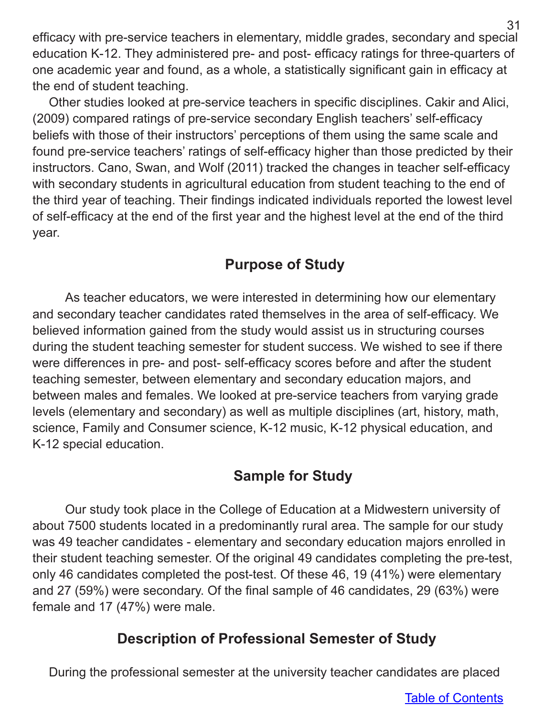efficacy with pre-service teachers in elementary, middle grades, secondary and special education K-12. They administered pre- and post- efficacy ratings for three-quarters of one academic year and found, as a whole, a statistically significant gain in efficacy at the end of student teaching.

Other studies looked at pre-service teachers in specific disciplines. Cakir and Alici, (2009) compared ratings of pre-service secondary English teachers' self-efficacy beliefs with those of their instructors' perceptions of them using the same scale and found pre-service teachers' ratings of self-efficacy higher than those predicted by their instructors. Cano, Swan, and Wolf (2011) tracked the changes in teacher self-efficacy with secondary students in agricultural education from student teaching to the end of the third year of teaching. Their findings indicated individuals reported the lowest level of self-efficacy at the end of the first year and the highest level at the end of the third year.

## **Purpose of Study**

As teacher educators, we were interested in determining how our elementary and secondary teacher candidates rated themselves in the area of self-efficacy. We believed information gained from the study would assist us in structuring courses during the student teaching semester for student success. We wished to see if there were differences in pre- and post- self-efficacy scores before and after the student teaching semester, between elementary and secondary education majors, and between males and females. We looked at pre-service teachers from varying grade levels (elementary and secondary) as well as multiple disciplines (art, history, math, science, Family and Consumer science, K-12 music, K-12 physical education, and K-12 special education.

## **Sample for Study**

Our study took place in the College of Education at a Midwestern university of about 7500 students located in a predominantly rural area. The sample for our study was 49 teacher candidates - elementary and secondary education majors enrolled in their student teaching semester. Of the original 49 candidates completing the pre-test, only 46 candidates completed the post-test. Of these 46, 19 (41%) were elementary and 27 (59%) were secondary. Of the final sample of 46 candidates, 29 (63%) were female and 17 (47%) were male.

## **Description of Professional Semester of Study**

During the professional semester at the university teacher candidates are placed

31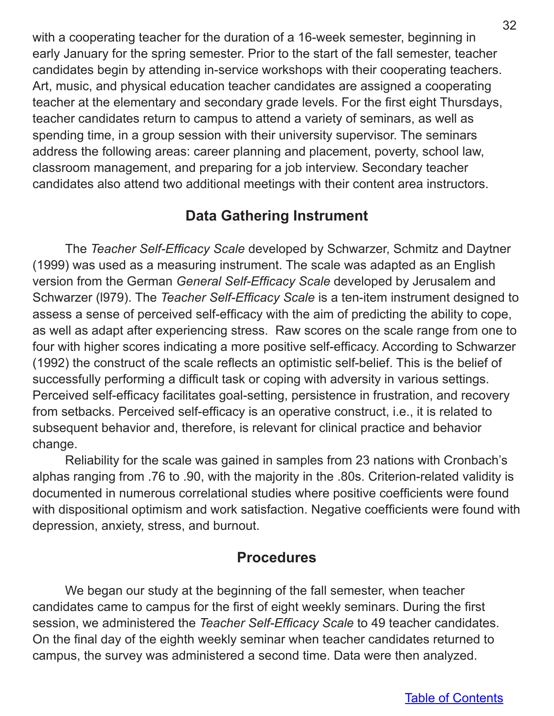with a cooperating teacher for the duration of a 16-week semester, beginning in early January for the spring semester. Prior to the start of the fall semester, teacher candidates begin by attending in-service workshops with their cooperating teachers. Art, music, and physical education teacher candidates are assigned a cooperating teacher at the elementary and secondary grade levels. For the first eight Thursdays, teacher candidates return to campus to attend a variety of seminars, as well as spending time, in a group session with their university supervisor. The seminars address the following areas: career planning and placement, poverty, school law, classroom management, and preparing for a job interview. Secondary teacher candidates also attend two additional meetings with their content area instructors.

## **Data Gathering Instrument**

The *Teacher Self-Efficacy Scale* developed by Schwarzer, Schmitz and Daytner (1999) was used as a measuring instrument. The scale was adapted as an English version from the German *General Self-Efficacy Scale* developed by Jerusalem and Schwarzer (l979). The *Teacher Self-Efficacy Scale* is a ten-item instrument designed to assess a sense of perceived self-efficacy with the aim of predicting the ability to cope, as well as adapt after experiencing stress. Raw scores on the scale range from one to four with higher scores indicating a more positive self-efficacy. According to Schwarzer (1992) the construct of the scale reflects an optimistic self-belief. This is the belief of successfully performing a difficult task or coping with adversity in various settings. Perceived self-efficacy facilitates goal-setting, persistence in frustration, and recovery from setbacks. Perceived self-efficacy is an operative construct, i.e., it is related to subsequent behavior and, therefore, is relevant for clinical practice and behavior change.

Reliability for the scale was gained in samples from 23 nations with Cronbach's alphas ranging from .76 to .90, with the majority in the .80s. Criterion-related validity is documented in numerous correlational studies where positive coefficients were found with dispositional optimism and work satisfaction. Negative coefficients were found with depression, anxiety, stress, and burnout.

## **Procedures**

We began our study at the beginning of the fall semester, when teacher candidates came to campus for the first of eight weekly seminars. During the first session, we administered the *Teacher Self-Efficacy Scale* to 49 teacher candidates. On the final day of the eighth weekly seminar when teacher candidates returned to campus, the survey was administered a second time. Data were then analyzed.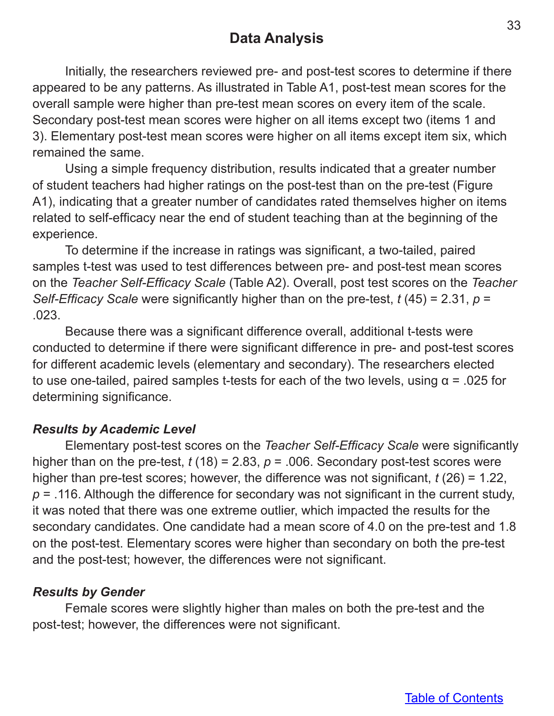## **Data Analysis**

Initially, the researchers reviewed pre- and post-test scores to determine if there appeared to be any patterns. As illustrated in Table A1, post-test mean scores for the overall sample were higher than pre-test mean scores on every item of the scale. Secondary post-test mean scores were higher on all items except two (items 1 and 3). Elementary post-test mean scores were higher on all items except item six, which remained the same.

Using a simple frequency distribution, results indicated that a greater number of student teachers had higher ratings on the post-test than on the pre-test (Figure A1), indicating that a greater number of candidates rated themselves higher on items related to self-efficacy near the end of student teaching than at the beginning of the experience.

To determine if the increase in ratings was significant, a two-tailed, paired samples t-test was used to test differences between pre- and post-test mean scores on the *Teacher Self-Efficacy Scale* (Table A2). Overall, post test scores on the *Teacher Self-Efficacy Scale* were significantly higher than on the pre-test, *t* (45) = 2.31, *p* = .023.

Because there was a significant difference overall, additional t-tests were conducted to determine if there were significant difference in pre- and post-test scores for different academic levels (elementary and secondary). The researchers elected to use one-tailed, paired samples t-tests for each of the two levels, using  $α = .025$  for determining significance.

### *Results by Academic Level*

Elementary post-test scores on the *Teacher Self-Efficacy Scale* were significantly higher than on the pre-test,  $t(18) = 2.83$ ,  $p = .006$ . Secondary post-test scores were higher than pre-test scores; however, the difference was not significant, *t* (26) = 1.22, *p* = .116. Although the difference for secondary was not significant in the current study, it was noted that there was one extreme outlier, which impacted the results for the secondary candidates. One candidate had a mean score of 4.0 on the pre-test and 1.8 on the post-test. Elementary scores were higher than secondary on both the pre-test and the post-test; however, the differences were not significant.

### *Results by Gender*

Female scores were slightly higher than males on both the pre-test and the post-test; however, the differences were not significant.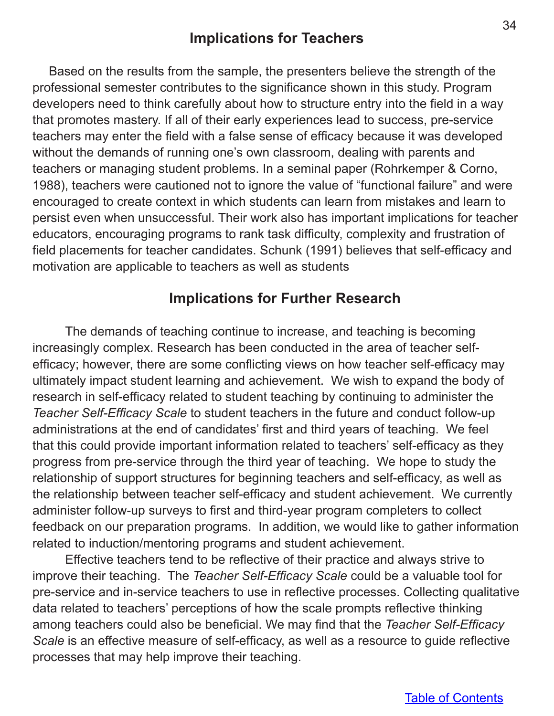## **Implications for Teachers**

Based on the results from the sample, the presenters believe the strength of the professional semester contributes to the significance shown in this study. Program developers need to think carefully about how to structure entry into the field in a way that promotes mastery. If all of their early experiences lead to success, pre-service teachers may enter the field with a false sense of efficacy because it was developed without the demands of running one's own classroom, dealing with parents and teachers or managing student problems. In a seminal paper (Rohrkemper & Corno, 1988), teachers were cautioned not to ignore the value of "functional failure" and were encouraged to create context in which students can learn from mistakes and learn to persist even when unsuccessful. Their work also has important implications for teacher educators, encouraging programs to rank task difficulty, complexity and frustration of field placements for teacher candidates. Schunk (1991) believes that self-efficacy and motivation are applicable to teachers as well as students

## **Implications for Further Research**

The demands of teaching continue to increase, and teaching is becoming increasingly complex. Research has been conducted in the area of teacher selfefficacy; however, there are some conflicting views on how teacher self-efficacy may ultimately impact student learning and achievement. We wish to expand the body of research in self-efficacy related to student teaching by continuing to administer the *Teacher Self-Efficacy Scale* to student teachers in the future and conduct follow-up administrations at the end of candidates' first and third years of teaching. We feel that this could provide important information related to teachers' self-efficacy as they progress from pre-service through the third year of teaching. We hope to study the relationship of support structures for beginning teachers and self-efficacy, as well as the relationship between teacher self-efficacy and student achievement. We currently administer follow-up surveys to first and third-year program completers to collect feedback on our preparation programs. In addition, we would like to gather information related to induction/mentoring programs and student achievement.

Effective teachers tend to be reflective of their practice and always strive to improve their teaching. The *Teacher Self-Efficacy Scale* could be a valuable tool for pre-service and in-service teachers to use in reflective processes. Collecting qualitative data related to teachers' perceptions of how the scale prompts reflective thinking among teachers could also be beneficial. We may find that the *Teacher Self-Efficacy Scale* is an effective measure of self-efficacy, as well as a resource to guide reflective processes that may help improve their teaching.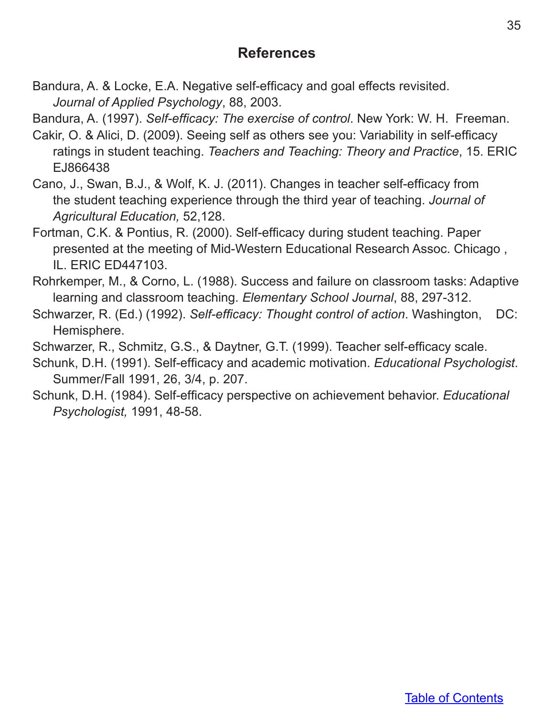## **References**

Bandura, A. & Locke, E.A. Negative self-efficacy and goal effects revisited. *Journal of Applied Psychology*, 88, 2003.

Bandura, A. (1997). *Self-efficacy: The exercise of control*. New York: W. H. Freeman.

- Cakir, O. & Alici, D. (2009). Seeing self as others see you: Variability in self-efficacy ratings in student teaching. *Teachers and Teaching: Theory and Practice*, 15. ERIC EJ866438
- Cano, J., Swan, B.J., & Wolf, K. J. (2011). Changes in teacher self-efficacy from the student teaching experience through the third year of teaching. *Journal of Agricultural Education,* 52,128.
- Fortman, C.K. & Pontius, R. (2000). Self-efficacy during student teaching. Paper presented at the meeting of Mid-Western Educational Research Assoc. Chicago , IL. ERIC ED447103.
- Rohrkemper, M., & Corno, L. (1988). Success and failure on classroom tasks: Adaptive learning and classroom teaching. *Elementary School Journal*, 88, 297-312.
- Schwarzer, R. (Ed.) (1992). *Self-efficacy: Thought control of action*. Washington, DC: Hemisphere.

Schwarzer, R., Schmitz, G.S., & Daytner, G.T. (1999). Teacher self-efficacy scale.

- Schunk, D.H. (1991). Self-efficacy and academic motivation. *Educational Psychologist*. Summer/Fall 1991, 26, 3/4, p. 207.
- Schunk, D.H. (1984). Self-efficacy perspective on achievement behavior. *Educational Psychologist,* 1991, 48-58.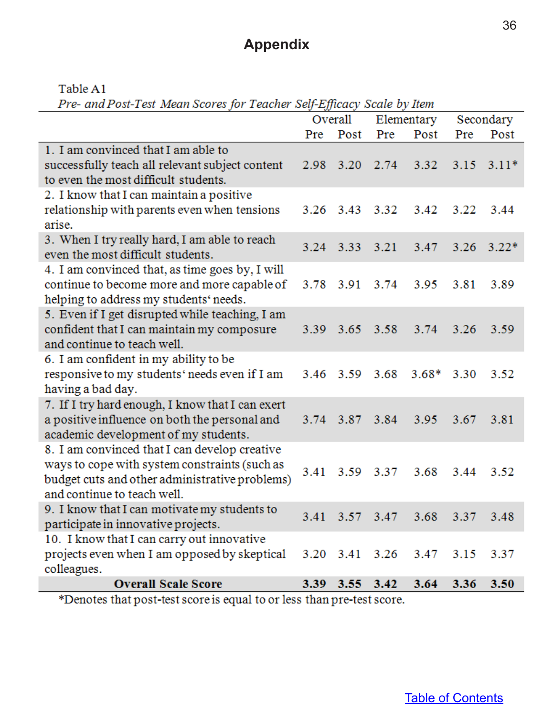# **Appendix**

Table A1

Pre- and Post-Test Mean Scores for Teacher Self-Efficacy Scale by Item

|                                                                    | Overall |                | Elementary     |         | Secondary |                    |
|--------------------------------------------------------------------|---------|----------------|----------------|---------|-----------|--------------------|
|                                                                    | Pre     | Post           | Pre            | Post    | Pre       | Post               |
| 1. I am convinced that I am able to                                |         |                |                |         |           |                    |
| successfully teach all relevant subject content                    |         | 2.98 3.20      | 2.74           | 3.32    |           | $3.15 \quad 3.11*$ |
| to even the most difficult students.                               |         |                |                |         |           |                    |
| 2. I know that I can maintain a positive                           |         |                |                |         |           |                    |
| relationship with parents even when tensions                       |         | 3.26 3.43      | 3.32           | 3.42    | 3.22      | 3.44               |
| arise.                                                             |         |                |                |         |           |                    |
| 3. When I try really hard, I am able to reach                      |         |                | 3.24 3.33 3.21 | 3.47    | 3.26      | $3.22*$            |
| even the most difficult students.                                  |         |                |                |         |           |                    |
| 4. I am convinced that, as time goes by, I will                    |         |                |                |         |           |                    |
| continue to become more and more capable of                        |         | 3.78 3.91      | 3.74           | 3.95    | 3.81      | 3.89               |
| helping to address my students' needs.                             |         |                |                |         |           |                    |
| 5. Even if I get disrupted while teaching, I am                    |         |                |                |         |           |                    |
| confident that I can maintain my composure                         |         | 3.39 3.65 3.58 |                | 3.74    | 3.26      | 3.59               |
| and continue to teach well.                                        |         |                |                |         |           |                    |
| 6. I am confident in my ability to be                              |         |                |                |         |           |                    |
| responsive to my students' needs even if I am                      | 3.46    | 3.59           | 3.68           | $3.68*$ | 3.30      | 3.52               |
| having a bad day.                                                  |         |                |                |         |           |                    |
| 7. If I try hard enough, I know that I can exert                   |         |                |                |         |           |                    |
| a positive influence on both the personal and                      |         | 3.74 3.87      | 3.84           | 3.95    | 3.67      | 3.81               |
| academic development of my students.                               |         |                |                |         |           |                    |
| 8. I am convinced that I can develop creative                      |         |                |                |         |           |                    |
| ways to cope with system constraints (such as                      | 3.41    | 3.59           | 3.37           | 3.68    | 3.44      | 3.52               |
| budget cuts and other administrative problems)                     |         |                |                |         |           |                    |
| and continue to teach well.                                        |         |                |                |         |           |                    |
| 9. I know that I can motivate my students to                       |         |                | 3.41 3.57 3.47 | 3.68    |           | 3.37 3.48          |
| participate in innovative projects.                                |         |                |                |         |           |                    |
| 10. I know that I can carry out innovative                         |         |                |                |         |           |                    |
| projects even when I am opposed by skeptical                       |         |                | 3.20 3.41 3.26 | 3.47    | 3.15      | 3.37               |
| colleagues.                                                        |         |                |                |         |           |                    |
| <b>Overall Scale Score</b>                                         |         | 3.39 3.55 3.42 |                | 3.64    | 3.36      | 3.50               |
| *Denotes that post-test secreis equal to or less than pre-test sec |         |                |                |         |           |                    |

'Denotes that post-test score is equal to or less than pre-test score.